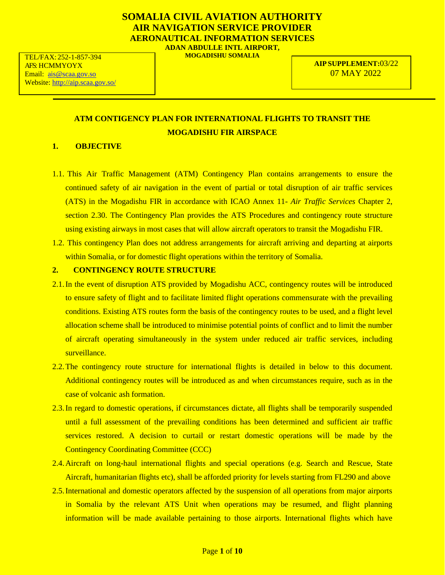# **SOMALIA CIVIL AVIATION AUTHORITY AIR NAVIGATION SERVICE PROVIDER AERONAUTICAL INFORMATION SERVICES ADAN ABDULLE INTL AIRPORT,**

**MOGADISHU SOMALIA**

**AIP SUPPLEMENT:**03/22 07 MAY 2022

# **ATM CONTIGENCY PLAN FOR INTERNATIONAL FLIGHTS TO TRANSIT THE MOGADISHU FIR AIRSPACE**

# **1. OBJECTIVE**

- 1.1. This Air Traffic Management (ATM) Contingency Plan contains arrangements to ensure the continued safety of air navigation in the event of partial or total disruption of air traffic services (ATS) in the Mogadishu FIR in accordance with ICAO Annex 11- *Air Traffic Services* Chapter 2, section 2.30. The Contingency Plan provides the ATS Procedures and contingency route structure using existing airways in most cases that will allow aircraft operators to transit the Mogadishu FIR.
- 1.2. This contingency Plan does not address arrangements for aircraft arriving and departing at airports within Somalia, or for domestic flight operations within the territory of Somalia.

# **2. CONTINGENCY ROUTE STRUCTURE**

- 2.1.In the event of disruption ATS provided by Mogadishu ACC, contingency routes will be introduced to ensure safety of flight and to facilitate limited flight operations commensurate with the prevailing conditions. Existing ATS routes form the basis of the contingency routes to be used, and a flight level allocation scheme shall be introduced to minimise potential points of conflict and to limit the number of aircraft operating simultaneously in the system under reduced air traffic services, including surveillance.
- 2.2.The contingency route structure for international flights is detailed in below to this document. Additional contingency routes will be introduced as and when circumstances require, such as in the case of volcanic ash formation.
- 2.3.In regard to domestic operations, if circumstances dictate, all flights shall be temporarily suspended until a full assessment of the prevailing conditions has been determined and sufficient air traffic services restored. A decision to curtail or restart domestic operations will be made by the Contingency Coordinating Committee (CCC)
- 2.4.Aircraft on long-haul international flights and special operations (e.g. Search and Rescue, State Aircraft, humanitarian flights etc), shall be afforded priority for levels starting from FL290 and above
- 2.5.International and domestic operators affected by the suspension of all operations from major airports in Somalia by the relevant ATS Unit when operations may be resumed, and flight planning information will be made available pertaining to those airports. International flights which have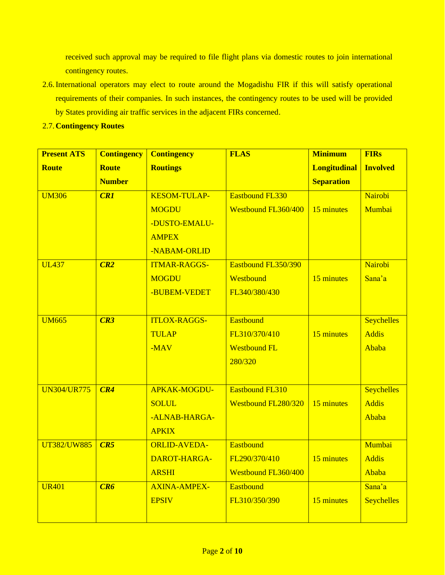received such approval may be required to file flight plans via domestic routes to join international contingency routes.

- 2.6.International operators may elect to route around the Mogadishu FIR if this will satisfy operational requirements of their companies. In such instances, the contingency routes to be used will be provided by States providing air traffic services in the adjacent FIRs concerned.
- 2.7.**Contingency Routes**

| <b>Present ATS</b> | <b>Contingency</b> | <b>Contingency</b>  | <b>FLAS</b>                | <b>Minimum</b>      | <b>FIRs</b>       |
|--------------------|--------------------|---------------------|----------------------------|---------------------|-------------------|
| <b>Route</b>       | <b>Route</b>       | <b>Routings</b>     |                            | <b>Longitudinal</b> | <b>Involved</b>   |
|                    | <b>Number</b>      |                     |                            | <b>Separation</b>   |                   |
| <b>UM306</b>       | CRI                | <b>KESOM-TULAP-</b> | <b>Eastbound FL330</b>     |                     | Nairobi           |
|                    |                    | <b>MOGDU</b>        | <b>Westbound FL360/400</b> | 15 minutes          | Mumbai            |
|                    |                    | -DUSTO-EMALU-       |                            |                     |                   |
|                    |                    | <b>AMPEX</b>        |                            |                     |                   |
|                    |                    | -NABAM-ORLID        |                            |                     |                   |
| <b>UL437</b>       | CR2                | <b>ITMAR-RAGGS-</b> | Eastbound FL350/390        |                     | Nairobi           |
|                    |                    | <b>MOGDU</b>        | Westbound                  | 15 minutes          | Sana'a            |
|                    |                    | -BUBEM-VEDET        | FL340/380/430              |                     |                   |
|                    |                    |                     |                            |                     |                   |
| <b>UM665</b>       | CR3                | <b>ITLOX-RAGGS-</b> | <b>Eastbound</b>           |                     | <b>Seychelles</b> |
|                    |                    | <b>TULAP</b>        | FL310/370/410              | 15 minutes          | <b>Addis</b>      |
|                    |                    | $-MAV$              | <b>Westbound FL</b>        |                     | Ababa             |
|                    |                    |                     | 280/320                    |                     |                   |
|                    |                    |                     |                            |                     |                   |
| <b>UN304/UR775</b> | CR4                | APKAK-MOGDU-        | <b>Eastbound FL310</b>     |                     | <b>Seychelles</b> |
|                    |                    | <b>SOLUL</b>        | <b>Westbound FL280/320</b> | 15 minutes          | <b>Addis</b>      |
|                    |                    | -ALNAB-HARGA-       |                            |                     | Ababa             |
|                    |                    | <b>APKIX</b>        |                            |                     |                   |
| <b>UT382/UW885</b> | CR5                | <b>ORLID-AVEDA-</b> | <b>Eastbound</b>           |                     | Mumbai            |
|                    |                    | DAROT-HARGA-        | FL290/370/410              | 15 minutes          | <b>Addis</b>      |
|                    |                    | <b>ARSHI</b>        | Westbound FL360/400        |                     | Ababa             |
| <b>UR401</b>       | CR6                | <b>AXINA-AMPEX-</b> | <b>Eastbound</b>           |                     | Sana'a            |
|                    |                    | <b>EPSIV</b>        | FL310/350/390              | 15 minutes          | <b>Seychelles</b> |
|                    |                    |                     |                            |                     |                   |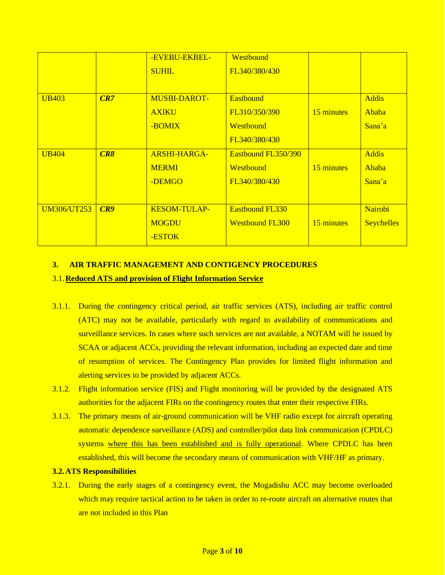|                    |     | -EVEBU-EKBEL-       | Westbound              |            |                   |
|--------------------|-----|---------------------|------------------------|------------|-------------------|
|                    |     | <b>SUHIL</b>        | FL340/380/430          |            |                   |
|                    |     |                     |                        |            |                   |
| <b>UB403</b>       | CR7 | <b>MUSBI-DAROT-</b> | <b>Eastbound</b>       |            | <b>Addis</b>      |
|                    |     | <b>AXIKU</b>        | FL310/350/390          | 15 minutes | Ababa             |
|                    |     | -BOMIX              | Westbound              |            | Sana'a            |
|                    |     |                     | FL340/380/430          |            |                   |
| <b>UB404</b>       | CR8 | <b>ARSHI-HARGA-</b> | Eastbound FL350/390    |            | <b>Addis</b>      |
|                    |     | <b>MERMI</b>        | Westbound              | 15 minutes | Ababa             |
|                    |     | -DEMGO              | FL340/380/430          |            | Sana'a            |
|                    |     |                     |                        |            |                   |
| <b>UM306/UT253</b> | CR9 | <b>KESOM-TULAP-</b> | <b>Eastbound FL330</b> |            | Nairobi           |
|                    |     | <b>MOGDU</b>        | <b>Westbound FL300</b> | 15 minutes | <b>Seychelles</b> |
|                    |     | -ESTOK              |                        |            |                   |

### **3. AIR TRAFFIC MANAGEMENT AND CONTIGENCY PROCEDURES**

### 3.1.**Reduced ATS and provision of Flight Information Service**

- 3.1.1. During the contingency critical period, air traffic services (ATS), including air traffic control (ATC) may not be available, particularly with regard to availability of communications and surveillance services. In cases where such services are not available, a NOTAM will be issued by SCAA or adjacent ACCs, providing the relevant information, including an expected date and time of resumption of services. The Contingency Plan provides for limited flight information and alerting services to be provided by adjacent ACCs.
- 3.1.2. Flight information service (FIS) and Flight monitoring will be provided by the designated ATS authorities for the adjacent FIRs on the contingency routes that enter their respective FIRs.
- 3.1.3. The primary means of air-ground communication will be VHF radio except for aircraft operating automatic dependence surveillance (ADS) and controller/pilot data link communication (CPDLC) systems where this has been established and is fully operational. Where CPDLC has been established, this will become the secondary means of communication with VHF/HF as primary.

### **3.2.ATS Responsibilities**

3.2.1. During the early stages of a contingency event, the Mogadishu ACC may become overloaded which may require tactical action to be taken in order to re-route aircraft on alternative routes that are not included in this Plan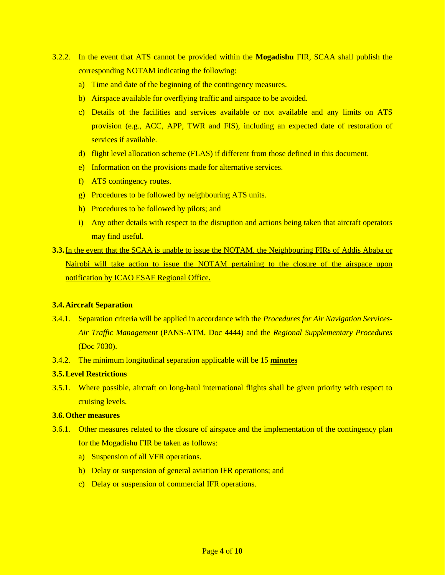- 3.2.2. In the event that ATS cannot be provided within the **Mogadishu** FIR, SCAA shall publish the corresponding NOTAM indicating the following:
	- a) Time and date of the beginning of the contingency measures.
	- b) Airspace available for overflying traffic and airspace to be avoided.
	- c) Details of the facilities and services available or not available and any limits on ATS provision (e.g., ACC, APP, TWR and FIS), including an expected date of restoration of services if available.
	- d) flight level allocation scheme (FLAS) if different from those defined in this document.
	- e) Information on the provisions made for alternative services.
	- f) ATS contingency routes.
	- g) Procedures to be followed by neighbouring ATS units.
	- h) Procedures to be followed by pilots; and
	- i) Any other details with respect to the disruption and actions being taken that aircraft operators may find useful.
- **3.3.** In the event that the SCAA is unable to issue the NOTAM, the Neighbouring FIRs of Addis Ababa or Nairobi will take action to issue the NOTAM pertaining to the closure of the airspace upon notification by ICAO ESAF Regional Office**.**

#### **3.4.Aircraft Separation**

- 3.4.1. Separation criteria will be applied in accordance with the *Procedures for Air Navigation Services-Air Traffic Management* (PANS-ATM, Doc 4444) and the *Regional Supplementary Procedures* (Doc 7030).
- 3.4.2. The minimum longitudinal separation applicable will be 15 **minutes**

### **3.5.Level Restrictions**

3.5.1. Where possible, aircraft on long-haul international flights shall be given priority with respect to cruising levels.

### **3.6.Other measures**

- 3.6.1. Other measures related to the closure of airspace and the implementation of the contingency plan for the Mogadishu FIR be taken as follows:
	- a) Suspension of all VFR operations.
	- b) Delay or suspension of general aviation IFR operations; and
	- c) Delay or suspension of commercial IFR operations.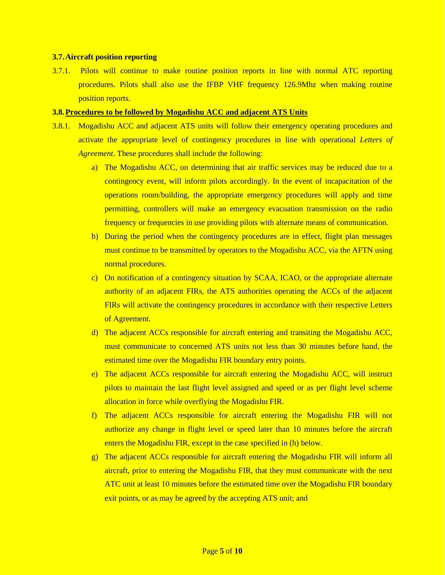#### **3.7.Aircraft position reporting**

3.7.1. Pilots will continue to make routine position reports in line with normal ATC reporting procedures. Pilots shall also use the IFBP VHF frequency 126.9Mhz when making routine position reports.

### **3.8.Procedures to be followed by Mogadishu ACC and adjacent ATS Units**

- 3.8.1. Mogadishu ACC and adjacent ATS units will follow their emergency operating procedures and activate the appropriate level of contingency procedures in line with operational *Letters of Agreement*. These procedures shall include the following:
	- a) The Mogadishu ACC, on determining that air traffic services may be reduced due to a contingency event, will inform pilots accordingly. In the event of incapacitation of the operations room/building, the appropriate emergency procedures will apply and time permitting, controllers will make an emergency evacuation transmission on the radio frequency or frequencies in use providing pilots with alternate means of communication.
	- b) During the period when the contingency procedures are in effect, flight plan messages must continue to be transmitted by operators to the Mogadishu ACC, via the AFTN using normal procedures.
	- c) On notification of a contingency situation by SCAA, ICAO, or the appropriate alternate authority of an adjacent FIRs, the ATS authorities operating the ACCs of the adjacent FIRs will activate the contingency procedures in accordance with their respective Letters of Agreement.
	- d) The adjacent ACCs responsible for aircraft entering and transiting the Mogadishu ACC, must communicate to concerned ATS units not less than 30 minutes before hand, the estimated time over the Mogadishu FIR boundary entry points.
	- e) The adjacent ACCs responsible for aircraft entering the Mogadishu ACC, will instruct pilots to maintain the last flight level assigned and speed or as per flight level scheme allocation in force while overflying the Mogadishu FIR.
	- f) The adjacent ACCs responsible for aircraft entering the Mogadishu FIR will not authorize any change in flight level or speed later than 10 minutes before the aircraft enters the Mogadishu FIR, except in the case specified in (h) below.
	- g) The adjacent ACCs responsible for aircraft entering the Mogadishu FIR will inform all aircraft, prior to entering the Mogadishu FIR, that they must communicate with the next ATC unit at least 10 minutes before the estimated time over the Mogadishu FIR boundary exit points, or as may be agreed by the accepting ATS unit; and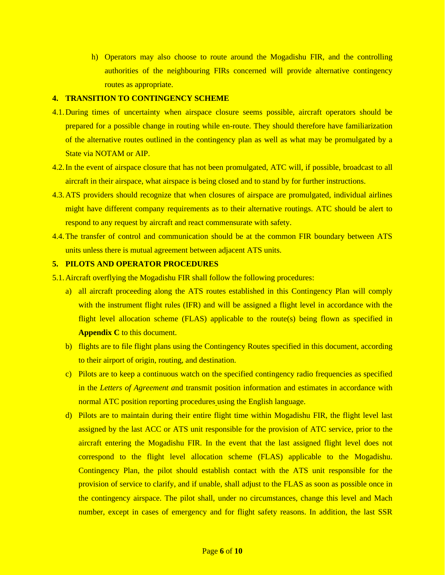h) Operators may also choose to route around the Mogadishu FIR, and the controlling authorities of the neighbouring FIRs concerned will provide alternative contingency routes as appropriate.

#### **4. TRANSITION TO CONTINGENCY SCHEME**

- 4.1.During times of uncertainty when airspace closure seems possible, aircraft operators should be prepared for a possible change in routing while en-route. They should therefore have familiarization of the alternative routes outlined in the contingency plan as well as what may be promulgated by a State via NOTAM or AIP.
- 4.2. In the event of airspace closure that has not been promulgated, ATC will, if possible, broadcast to all aircraft in their airspace, what airspace is being closed and to stand by for further instructions.
- 4.3.ATS providers should recognize that when closures of airspace are promulgated, individual airlines might have different company requirements as to their alternative routings. ATC should be alert to respond to any request by aircraft and react commensurate with safety.
- 4.4.The transfer of control and communication should be at the common FIR boundary between ATS units unless there is mutual agreement between adjacent ATS units.

## **5. PILOTS AND OPERATOR PROCEDURES**

- 5.1.Aircraft overflying the Mogadishu FIR shall follow the following procedures:
	- a) all aircraft proceeding along the ATS routes established in this Contingency Plan will comply with the instrument flight rules (IFR) and will be assigned a flight level in accordance with the flight level allocation scheme (FLAS) applicable to the route(s) being flown as specified in **Appendix C** to this document.
	- b) flights are to file flight plans using the Contingency Routes specified in this document, according to their airport of origin, routing, and destination.
	- c) Pilots are to keep a continuous watch on the specified contingency radio frequencies as specified in the *Letters of Agreement a*nd transmit position information and estimates in accordance with normal ATC position reporting procedures using the English language.
	- d) Pilots are to maintain during their entire flight time within Mogadishu FIR, the flight level last assigned by the last ACC or ATS unit responsible for the provision of ATC service, prior to the aircraft entering the Mogadishu FIR. In the event that the last assigned flight level does not correspond to the flight level allocation scheme (FLAS) applicable to the Mogadishu. Contingency Plan, the pilot should establish contact with the ATS unit responsible for the provision of service to clarify, and if unable, shall adjust to the FLAS as soon as possible once in the contingency airspace. The pilot shall, under no circumstances, change this level and Mach number, except in cases of emergency and for flight safety reasons. In addition, the last SSR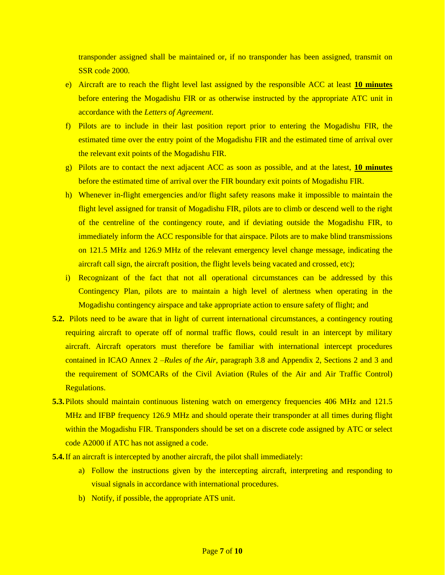transponder assigned shall be maintained or, if no transponder has been assigned, transmit on SSR code 2000.

- e) Aircraft are to reach the flight level last assigned by the responsible ACC at least **10 minutes** before entering the Mogadishu FIR or as otherwise instructed by the appropriate ATC unit in accordance with the *Letters of Agreement*.
- f) Pilots are to include in their last position report prior to entering the Mogadishu FIR, the estimated time over the entry point of the Mogadishu FIR and the estimated time of arrival over the relevant exit points of the Mogadishu FIR.
- g) Pilots are to contact the next adjacent ACC as soon as possible, and at the latest, **10 minutes** before the estimated time of arrival over the FIR boundary exit points of Mogadishu FIR.
- h) Whenever in-flight emergencies and/or flight safety reasons make it impossible to maintain the flight level assigned for transit of Mogadishu FIR, pilots are to climb or descend well to the right of the centreline of the contingency route, and if deviating outside the Mogadishu FIR, to immediately inform the ACC responsible for that airspace. Pilots are to make blind transmissions on 121.5 MHz and 126.9 MHz of the relevant emergency level change message, indicating the aircraft call sign, the aircraft position, the flight levels being vacated and crossed, etc);
- i) Recognizant of the fact that not all operational circumstances can be addressed by this Contingency Plan, pilots are to maintain a high level of alertness when operating in the Mogadishu contingency airspace and take appropriate action to ensure safety of flight; and
- **5.2.** Pilots need to be aware that in light of current international circumstances, a contingency routing requiring aircraft to operate off of normal traffic flows, could result in an intercept by military aircraft. Aircraft operators must therefore be familiar with international intercept procedures contained in ICAO Annex 2 –*Rules of the Air*, paragraph 3.8 and Appendix 2, Sections 2 and 3 and the requirement of SOMCARs of the Civil Aviation (Rules of the Air and Air Traffic Control) Regulations.
- **5.3.** Pilots should maintain continuous listening watch on emergency frequencies 406 MHz and 121.5 MHz and IFBP frequency 126.9 MHz and should operate their transponder at all times during flight within the Mogadishu FIR. Transponders should be set on a discrete code assigned by ATC or select code A2000 if ATC has not assigned a code.
- **5.4.** If an aircraft is intercepted by another aircraft, the pilot shall immediately:
	- a) Follow the instructions given by the intercepting aircraft, interpreting and responding to visual signals in accordance with international procedures.
	- b) Notify, if possible, the appropriate ATS unit.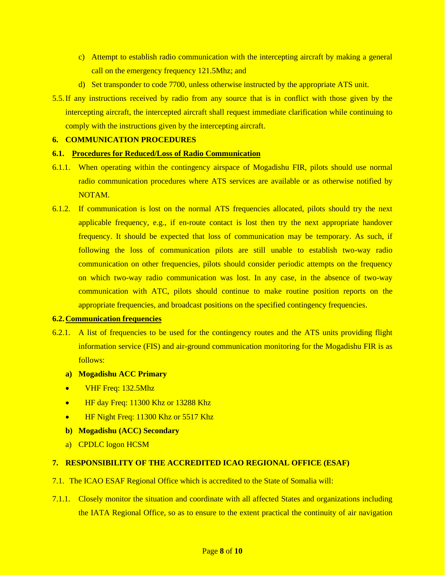- c) Attempt to establish radio communication with the intercepting aircraft by making a general call on the emergency frequency 121.5Mhz; and
- d) Set transponder to code 7700, unless otherwise instructed by the appropriate ATS unit.
- 5.5.If any instructions received by radio from any source that is in conflict with those given by the intercepting aircraft, the intercepted aircraft shall request immediate clarification while continuing to comply with the instructions given by the intercepting aircraft.

# **6. COMMUNICATION PROCEDURES**

# **6.1. Procedures for Reduced/Loss of Radio Communication**

- 6.1.1. When operating within the contingency airspace of Mogadishu FIR, pilots should use normal radio communication procedures where ATS services are available or as otherwise notified by NOTAM.
- 6.1.2. If communication is lost on the normal ATS frequencies allocated, pilots should try the next applicable frequency, e.g., if en-route contact is lost then try the next appropriate handover frequency. It should be expected that loss of communication may be temporary. As such, if following the loss of communication pilots are still unable to establish two-way radio communication on other frequencies, pilots should consider periodic attempts on the frequency on which two-way radio communication was lost. In any case, in the absence of two-way communication with ATC, pilots should continue to make routine position reports on the appropriate frequencies, and broadcast positions on the specified contingency frequencies.

### **6.2.Communication frequencies**

- 6.2.1. A list of frequencies to be used for the contingency routes and the ATS units providing flight information service (FIS) and air-ground communication monitoring for the Mogadishu FIR is as follows:
	- **a) Mogadishu ACC Primary**
	- VHF Freq: 132.5Mhz
	- HF day Freq: 11300 Khz or 13288 Khz
	- HF Night Freq: 11300 Khz or 5517 Khz
	- **b) Mogadishu (ACC) Secondary**
	- a) CPDLC logon HCSM

# **7. RESPONSIBILITY OF THE ACCREDITED ICAO REGIONAL OFFICE (ESAF)**

- 7.1. The ICAO ESAF Regional Office which is accredited to the State of Somalia will:
- 7.1.1. Closely monitor the situation and coordinate with all affected States and organizations including the IATA Regional Office, so as to ensure to the extent practical the continuity of air navigation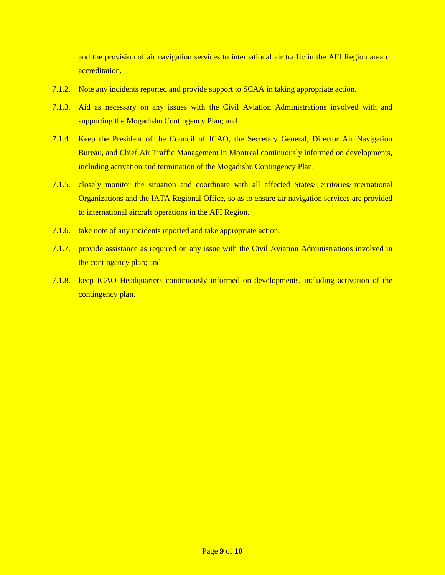and the provision of air navigation services to international air traffic in the AFI Region area of accreditation.

- 7.1.2. Note any incidents reported and provide support to SCAA in taking appropriate action.
- 7.1.3. Aid as necessary on any issues with the Civil Aviation Administrations involved with and supporting the Mogadishu Contingency Plan; and
- 7.1.4. Keep the President of the Council of ICAO, the Secretary General, Director Air Navigation Bureau, and Chief Air Traffic Management in Montreal continuously informed on developments, including activation and termination of the Mogadishu Contingency Plan.
- 7.1.5. closely monitor the situation and coordinate with all affected States/Territories/International Organizations and the IATA Regional Office, so as to ensure air navigation services are provided to international aircraft operations in the AFI Region.
- 7.1.6. take note of any incidents reported and take appropriate action.
- 7.1.7. provide assistance as required on any issue with the Civil Aviation Administrations involved in the contingency plan; and
- 7.1.8. keep ICAO Headquarters continuously informed on developments, including activation of the contingency plan.